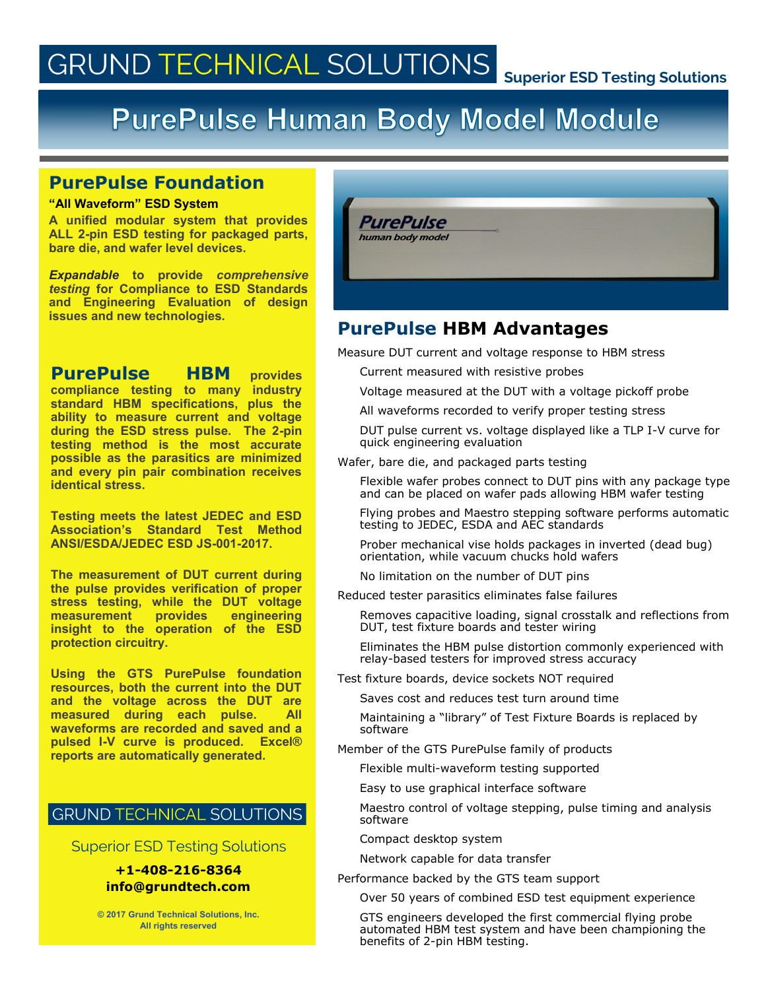# **GRUND TECHNICAL SOLUTIONS**

#### **Superior ESD Testing Solutions**

## PurePulse Human Body Model Module

#### **PurePulse Foundation**

#### **"All Waveform" ESD System**

**A unified modular system that provides ALL 2-pin ESD testing for packaged parts, bare die, and wafer level devices.**

*Expandable* **to provide** *comprehensive testing* **for Compliance to ESD Standards and Engineering Evaluation of design issues and new technologies.**

**PurePulse HBM provides compliance testing to many industry standard HBM specifications, plus the ability to measure current and voltage during the ESD stress pulse. The 2-pin testing method is the most accurate possible as the parasitics are minimized and every pin pair combination receives identical stress.** 

**Testing meets the latest JEDEC and ESD Association's Standard Test Method ANSI/ESDA/JEDEC ESD JS-001-2017.** 

**The measurement of DUT current during the pulse provides verification of proper stress testing, while the DUT voltage measurement** provides **insight to the operation of the ESD protection circuitry.** 

**Using the GTS PurePulse foundation resources, both the current into the DUT and the voltage across the DUT are measured during each pulse. All waveforms are recorded and saved and a pulsed I-V curve is produced. Excel® reports are automatically generated.** 

### **GRUND TECHNICAL SOLUTIONS**

Superior ESD Testing Solutions

#### **+1-408-216-8364 info@grundtech.com**

**© 2017 Grund Technical Solutions, Inc. All rights reserved**



## **PurePulse HBM Advantages**

Measure DUT current and voltage response to HBM stress

Current measured with resistive probes

- Voltage measured at the DUT with a voltage pickoff probe
- All waveforms recorded to verify proper testing stress
- DUT pulse current vs. voltage displayed like a TLP I-V curve for quick engineering evaluation

Wafer, bare die, and packaged parts testing

Flexible wafer probes connect to DUT pins with any package type and can be placed on wafer pads allowing HBM wafer testing

Flying probes and Maestro stepping software performs automatic testing to JEDEC, ESDA and AEC standards

Prober mechanical vise holds packages in inverted (dead bug) orientation, while vacuum chucks hold wafers

No limitation on the number of DUT pins

Reduced tester parasitics eliminates false failures

Removes capacitive loading, signal crosstalk and reflections from DUT, test fixture boards and tester wiring

Eliminates the HBM pulse distortion commonly experienced with relay-based testers for improved stress accuracy

Test fixture boards, device sockets NOT required

Saves cost and reduces test turn around time

Maintaining a "library" of Test Fixture Boards is replaced by software

Member of the GTS PurePulse family of products

Flexible multi-waveform testing supported

Easy to use graphical interface software

Maestro control of voltage stepping, pulse timing and analysis software

Compact desktop system

Network capable for data transfer

Performance backed by the GTS team support

Over 50 years of combined ESD test equipment experience

GTS engineers developed the first commercial flying probe automated HBM test system and have been championing the benefits of 2-pin HBM testing.